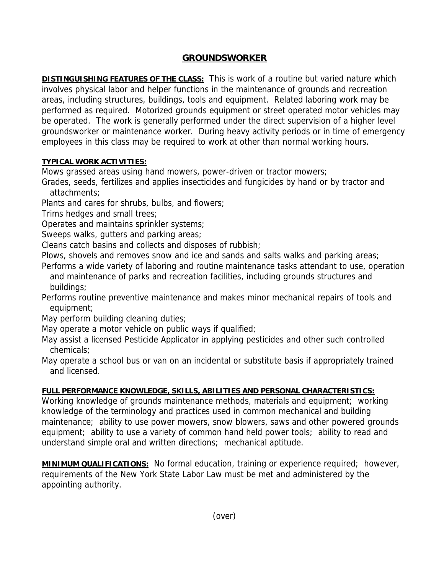## **GROUNDSWORKER**

**DISTINGUISHING FEATURES OF THE CLASS:** This is work of a routine but varied nature which involves physical labor and helper functions in the maintenance of grounds and recreation areas, including structures, buildings, tools and equipment. Related laboring work may be performed as required. Motorized grounds equipment or street operated motor vehicles may be operated. The work is generally performed under the direct supervision of a higher level groundsworker or maintenance worker. During heavy activity periods or in time of emergency employees in this class may be required to work at other than normal working hours.

## **TYPICAL WORK ACTIVITIES:**

Mows grassed areas using hand mowers, power-driven or tractor mowers;

Grades, seeds, fertilizes and applies insecticides and fungicides by hand or by tractor and attachments;

Plants and cares for shrubs, bulbs, and flowers;

Trims hedges and small trees;

Operates and maintains sprinkler systems;

Sweeps walks, gutters and parking areas;

Cleans catch basins and collects and disposes of rubbish;

Plows, shovels and removes snow and ice and sands and salts walks and parking areas;

- Performs a wide variety of laboring and routine maintenance tasks attendant to use, operation and maintenance of parks and recreation facilities, including grounds structures and buildings;
- Performs routine preventive maintenance and makes minor mechanical repairs of tools and equipment:

May perform building cleaning duties;

May operate a motor vehicle on public ways if qualified;

May assist a licensed Pesticide Applicator in applying pesticides and other such controlled chemicals;

May operate a school bus or van on an incidental or substitute basis if appropriately trained and licensed.

## **FULL PERFORMANCE KNOWLEDGE, SKILLS, ABILITIES AND PERSONAL CHARACTERISTICS:**

Working knowledge of grounds maintenance methods, materials and equipment; working knowledge of the terminology and practices used in common mechanical and building maintenance; ability to use power mowers, snow blowers, saws and other powered grounds equipment; ability to use a variety of common hand held power tools; ability to read and understand simple oral and written directions; mechanical aptitude.

**MINIMUM QUALIFICATIONS:** No formal education, training or experience required; however, requirements of the New York State Labor Law must be met and administered by the appointing authority.